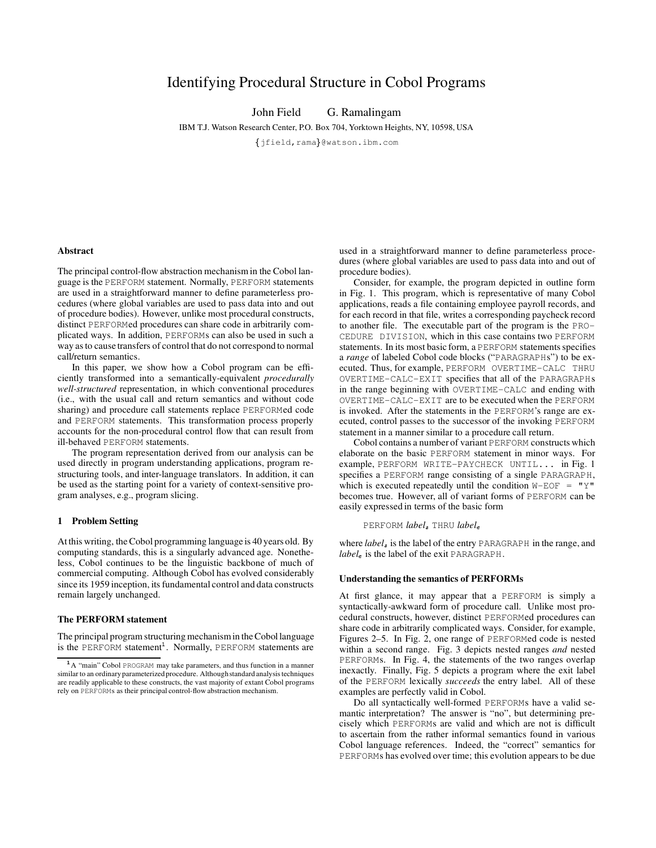# Identifying Procedural Structure in Cobol Programs

John Field G. Ramalingam

IBM T.J. Watson Research Center, P.O. Box 704, Yorktown Heights, NY, 10598, USA

jfield,rama @watson.ibm.com

## **Abstract**

The principal control-flow abstraction mechanism in the Cobol language is the PERFORM statement. Normally, PERFORM statements are used in a straightforward manner to define parameterless procedures (where global variables are used to pass data into and out of procedure bodies). However, unlike most procedural constructs, distinct PERFORMed procedures can share code in arbitrarily complicated ways. In addition, PERFORMs can also be used in such a way as to cause transfers of control that do not correspond to normal call/return semantics.

In this paper, we show how a Cobol program can be efficiently transformed into a semantically-equivalent *procedurally well-structured* representation, in which conventional procedures (i.e., with the usual call and return semantics and without code sharing) and procedure call statements replace PERFORMed code and PERFORM statements. This transformation process properly accounts for the non-procedural control flow that can result from ill-behaved PERFORM statements.

The program representation derived from our analysis can be used directly in program understanding applications, program restructuring tools, and inter-language translators. In addition, it can be used as the starting point for a variety of context-sensitive program analyses, e.g., program slicing.

## **1 Problem Setting**

At this writing, theCobol programming language is 40 years old. By computing standards, this is a singularly advanced age. Nonetheless, Cobol continues to be the linguistic backbone of much of commercial computing. Although Cobol has evolved considerably since its 1959 inception, its fundamental control and data constructs remain largely unchanged.

## **The PERFORM statement**

The principal program structuring mechanismin theCobol language is the PERFORM statement<sup>1</sup>. Normally, PERFORM statements are

used in a straightforward manner to define parameterless procedures (where global variables are used to pass data into and out of procedure bodies).

Consider, for example, the program depicted in outline form in Fig. 1. This program, which is representative of many Cobol applications, reads a file containing employee payroll records, and for each record in that file, writes a corresponding paycheck record to another file. The executable part of the program is the PRO-CEDURE DIVISION, which in this case contains two PERFORM statements. In its most basic form, a PERFORM statements specifies a *range* of labeled Cobol code blocks ("PARAGRAPHs") to be executed. Thus, for example, PERFORM OVERTIME-CALC THRU OVERTIME-CALC-EXIT specifies that all of the PARAGRAPHs in the range beginning with OVERTIME-CALC and ending with OVERTIME-CALC-EXIT are to be executed when the PERFORM is invoked. After the statements in the PERFORM's range are executed, control passes to the successor of the invoking PERFORM statement in a manner similar to a procedure call return.

Cobol contains a number of variant PERFORM constructs which elaborate on the basic PERFORM statement in minor ways. For example, PERFORM WRITE-PAYCHECK UNTIL... in Fig. 1 specifies a PERFORM range consisting of a single PARAGRAPH, which is executed repeatedly until the condition  $W - EOF = "Y"$ becomes true. However, all of variant forms of PERFORM can be easily expressed in terms of the basic form

PERFORM *label*, THRU *label*,

where *label*, is the label of the entry PARAGRAPH in the range, and *label* is the label of the exit PARAGRAPH.

#### **Understanding the semantics of PERFORMs**

At first glance, it may appear that a PERFORM is simply a syntactically-awkward form of procedure call. Unlike most procedural constructs, however, distinct PERFORMed procedures can share code in arbitrarily complicated ways. Consider, for example, Figures 2–5. In Fig. 2, one range of PERFORMed code is nested within a second range. Fig. 3 depicts nested ranges *and* nested PERFORMs. In Fig. 4, the statements of the two ranges overlap inexactly. Finally, Fig. 5 depicts a program where the exit label of the PERFORM lexically *succeeds* the entry label. All of these examples are perfectly valid in Cobol.

Do all syntactically well-formed PERFORMs have a valid semantic interpretation? The answer is "no", but determining precisely which PERFORMs are valid and which are not is difficult to ascertain from the rather informal semantics found in various Cobol language references. Indeed, the "correct" semantics for PERFORMs has evolved over time; this evolution appears to be due

<sup>&</sup>lt;sup>1</sup>A "main" Cobol PROGRAM may take parameters, and thus function in a manner similar to an ordinary parameterized procedure. Although standard analysis techniques are readily applicable to these constructs, the vast majority of extant Cobol programs rely on PERFORMs as their principal control-flow abstraction mechanism.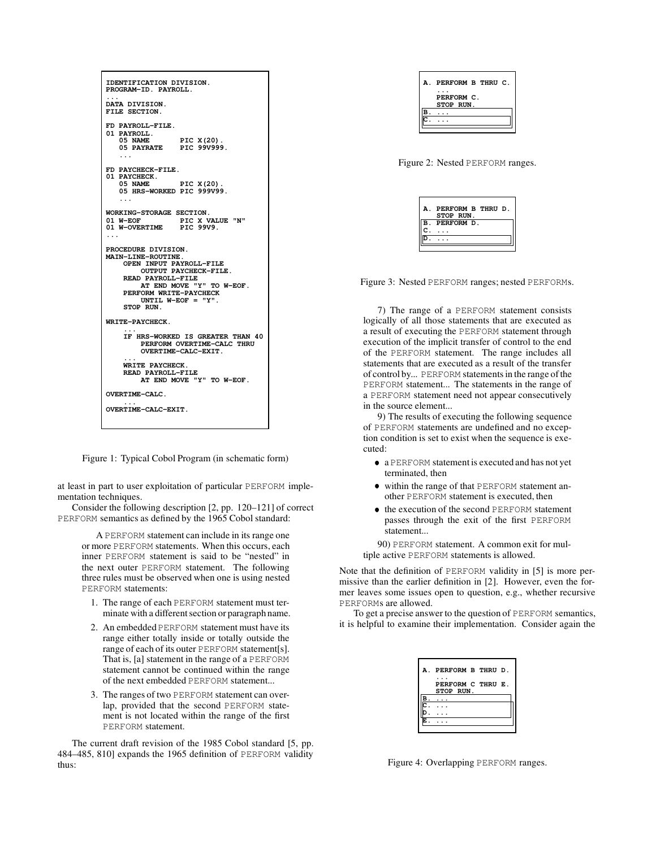| IDENTIFICATION DIVISION.<br>PROGRAM-ID. PAYROLL.                                                                                                                                                                       |  |  |  |
|------------------------------------------------------------------------------------------------------------------------------------------------------------------------------------------------------------------------|--|--|--|
| .<br>DATA DIVISION.<br>FILE SECTION.                                                                                                                                                                                   |  |  |  |
| FD PAYROLL-FILE.<br>01 PAYROLL.<br>05 NAME PIC X(20).<br>05 PAYRATE PIC 99V999.<br>.                                                                                                                                   |  |  |  |
| FD PAYCHECK-FILE.<br>01 PAYCHECK.<br>05 NAME PIC X (20).<br>05 HRS-WORKED PIC 999V99.<br>.                                                                                                                             |  |  |  |
| WORKING-STORAGE SECTION.<br>PIC X VALUE "N"<br>01 W-EOF                                                                                                                                                                |  |  |  |
| PROCEDURE DIVISION.<br>MAIN-LINE-ROUTINE.<br>OPEN INPUT PAYROLL-FILE<br><b>OUTPUT PAYCHECK-FILE.</b><br>READ PAYROLL-FILE<br>AT END MOVE "Y" TO W-EOF.<br>PERFORM WRITE-PAYCHECK<br>UNTIL W-EOF = $"Y"$ .<br>STOP RUN. |  |  |  |
| WRITE-PAYCHECK.                                                                                                                                                                                                        |  |  |  |
| IF HRS-WORKED IS GREATER THAN 40<br>PERFORM OVERTIME-CALC THRU<br>OVERTIME-CALC-EXIT.                                                                                                                                  |  |  |  |
| WRITE PAYCHECK.<br>READ PAYROLL-FILE<br>AT END MOVE "Y" TO W-EOF.                                                                                                                                                      |  |  |  |
| <b>OVERTIME-CALC.</b>                                                                                                                                                                                                  |  |  |  |
| .<br>OVERTIME-CALC-EXIT.                                                                                                                                                                                               |  |  |  |

Figure 1: Typical Cobol Program (in schematic form)

at least in part to user exploitation of particular PERFORM implementation techniques.

Consider the following description [2, pp. 120–121] of correct PERFORM semantics as defined by the 1965 Cobol standard:

A PERFORM statement can include in its range one or more PERFORM statements. When this occurs, each inner PERFORM statement is said to be "nested" in the next outer PERFORM statement. The following three rules must be observed when one is using nested PERFORM statements:

- 1. The range of each PERFORM statement must terminate with a different section or paragraph name.
- 2. An embedded PERFORM statement must have its range either totally inside or totally outside the range of each of its outer PERFORM statement[s]. That is, [a] statement in the range of a PERFORM statement cannot be continued within the range of the next embedded PERFORM statement...
- 3. The ranges of two PERFORM statement can overlap, provided that the second PERFORM statement is not located within the range of the first PERFORM statement.

The current draft revision of the 1985 Cobol standard [5, pp. 484–485, 810] expands the 1965 definition of PERFORM validity thus:

| A. PERFORM B THRU C.    |
|-------------------------|
| PERFORM C.<br>STOP RUN. |
|                         |
|                         |
|                         |

Figure 2: Nested PERFORM ranges.

| A. | PERFORM B THRU D.<br>STOP RUN. |
|----|--------------------------------|
|    | B. PERFORM D.                  |
| r  |                                |
|    |                                |
|    |                                |

Figure 3: Nested PERFORM ranges; nested PERFORMs.

7) The range of a PERFORM statement consists logically of all those statements that are executed as a result of executing the PERFORM statement through execution of the implicit transfer of control to the end of the PERFORM statement. The range includes all statements that are executed as a result of the transfer of control by... PERFORM statements in the range of the PERFORM statement... The statements in the range of a PERFORM statement need not appear consecutively in the source element...

9) The results of executing the following sequence of PERFORM statements are undefined and no exception condition is set to exist when the sequence is executed:

- a PERFORM statement is executed and has not yet terminated, then
- within the range of that PERFORM statement an other PERFORM statement is executed, then
- the execution of the second PERFORM statement passes through the exit of the first PERFORM statement...

90) PERFORM statement. A common exit for multiple active PERFORM statements is allowed.

Note that the definition of PERFORM validity in [5] is more permissive than the earlier definition in [2]. However, even the former leaves some issues open to question, e.g., whether recursive PERFORMs are allowed.

To get a precise answer to the question of PERFORM semantics, it is helpful to examine their implementation. Consider again the

| A. PERFORM B THRU D. |
|----------------------|
|                      |
|                      |
| PERFORM C THRU E.    |
| STOP RUN.            |
|                      |
|                      |
|                      |
|                      |
|                      |

Figure 4: Overlapping PERFORM ranges.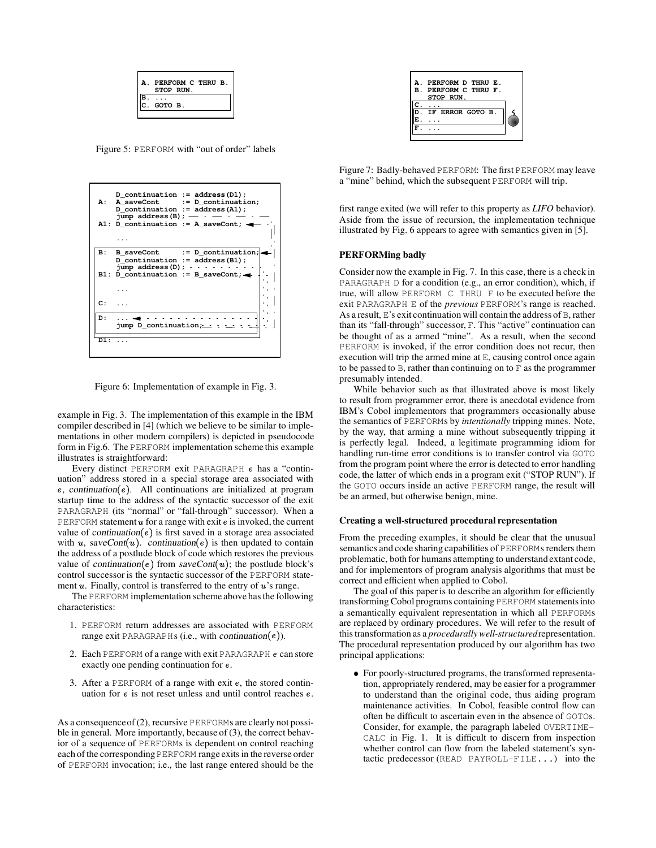| A. PERFORM C THRU B.<br>STOP RUN. |  |  |
|-----------------------------------|--|--|
| B.                                |  |  |
| C. GOTO B.                        |  |  |
|                                   |  |  |

Figure 5: PERFORM with "out of order" labels



Figure 6: Implementation of example in Fig. 3.

example in Fig. 3. The implementation of this example in the IBM compiler described in [4] (which we believe to be similar to implementations in other modern compilers) is depicted in pseudocode form in Fig.6. The PERFORM implementation scheme this example illustrates is straightforward:

Every distinct PERFORM exit PARAGRAPH e has a "continuation" address stored in a special storage area associated with  $e$ , continuation $(e)$ . All continuations are initialized at program startup time to the address of the syntactic successor of the exit PARAGRAPH (its "normal" or "fall-through" successor). When a PERFORM statement  $u$  for a range with exit  $e$  is invoked, the current value of continuation( $e$ ) is first saved in a storage area associated with *u*, saveCont(*u*). continuation(*e*) is then updated to contain the address of a postlude block of code which restores the previous value of continuation(e) from saveCont(u); the postlude block's control successor is the syntactic successor of the PERFORM statement  $u$ . Finally, control is transferred to the entry of  $u$ 's range.

The PERFORM implementation scheme above has the following characteristics:

- 1. PERFORM return addresses are associated with PERFORM range exit PARAGRAPHs (i.e., with continuation(e)).
- 2. Each PERFORM of a range with exit PARAGRAPH e can store exactly one pending continuation for  $e$ .
- 3. After a PERFORM of a range with exit  $e$ , the stored continuation for  $e$  is not reset unless and until control reaches  $e$ .

As a consequenceof (2), recursive PERFORMs are clearly not possible in general. More importantly, because of (3), the correct behavior of a sequence of PERFORMs is dependent on control reaching each of the corresponding PERFORM range exits in the reverse order of PERFORM invocation; i.e., the last range entered should be the



Figure 7: Badly-behaved PERFORM: The first PERFORM may leave a "mine" behind, which the subsequent PERFORM will trip.

first range exited (we will refer to this property as *LIFO* behavior). Aside from the issue of recursion, the implementation technique illustrated by Fig. 6 appears to agree with semantics given in [5].

# **PERFORMing badly**

Consider now the example in Fig. 7. In this case, there is a check in PARAGRAPH D for a condition (e.g., an error condition), which, if true, will allow PERFORM C THRU F to be executed before the exit PARAGRAPH E of the *previous* PERFORM's range is reached. As a result, E's exit continuation will contain the address of B, rather than its "fall-through" successor, F. This "active" continuation can be thought of as a armed "mine". As a result, when the second PERFORM is invoked, if the error condition does not recur, then execution will trip the armed mine at E, causing control once again to be passed to B, rather than continuing on to F as the programmer presumably intended.

While behavior such as that illustrated above is most likely to result from programmer error, there is anecdotal evidence from IBM's Cobol implementors that programmers occasionally abuse the semantics of PERFORMs by *intentionally* tripping mines. Note, by the way, that arming a mine without subsequently tripping it is perfectly legal. Indeed, a legitimate programming idiom for handling run-time error conditions is to transfer control via GOTO from the program point where the error is detected to error handling code, the latter of which ends in a program exit ("STOP RUN"). If the GOTO occurs inside an active PERFORM range, the result will be an armed, but otherwise benign, mine.

#### **Creating a well-structured procedural representation**

From the preceding examples, it should be clear that the unusual semantics and code sharing capabilities of PERFORMs renders them problematic, both for humans attempting to understand extant code, and for implementors of program analysis algorithms that must be correct and efficient when applied to Cobol.

The goal of this paper is to describe an algorithm for efficiently transforming Cobol programs containing PERFORM statements into a semantically equivalent representation in which all PERFORMs are replaced by ordinary procedures. We will refer to the result of this transformation as a *procedurallywell-structured*representation. The procedural representation produced by our algorithm has two principal applications:

For poorly-structured programs, the transformed representation, appropriately rendered, may be easier for a programmer to understand than the original code, thus aiding program maintenance activities. In Cobol, feasible control flow can often be difficult to ascertain even in the absence of GOTOs. Consider, for example, the paragraph labeled OVERTIME-CALC in Fig. 1. It is difficult to discern from inspection whether control can flow from the labeled statement's syntactic predecessor (READ PAYROLL-FILE...) into the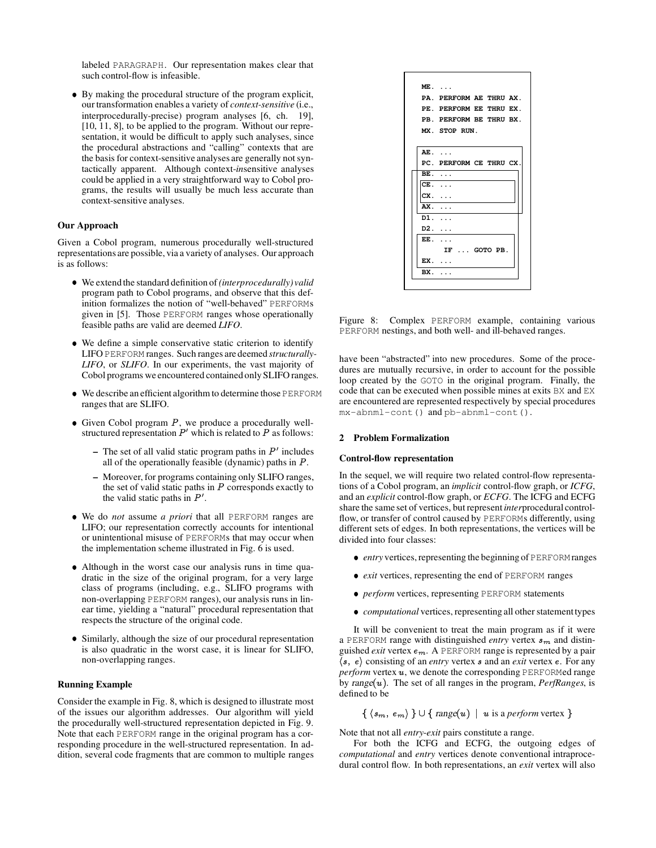labeled PARAGRAPH. Our representation makes clear that such control-flow is infeasible.

By making the procedural structure of the program explicit, our transformation enables a variety of *context-sensitive* (i.e., interprocedurally-precise) program analyses [6, ch. 19], [10, 11, 8], to be applied to the program. Without our representation, it would be difficult to apply such analyses, since the procedural abstractions and "calling" contexts that are the basis for context-sensitive analyses are generally not syntactically apparent. Although context-*in*sensitive analyses could be applied in a very straightforward way to Cobol programs, the results will usually be much less accurate than context-sensitive analyses.

## **Our Approach**

Given a Cobol program, numerous procedurally well-structured representations are possible, via a variety of analyses. Our approach is as follows:

- We extend the standard definition of *(interprocedurally) valid* program path to Cobol programs, and observe that this definition formalizes the notion of "well-behaved" PERFORMs given in [5]. Those PERFORM ranges whose operationally feasible paths are valid are deemed *LIFO*.
- We define a simple conservative static criterion to identify LIFO PERFORM ranges. Such ranges are deemed *structurally-LIFO*, or *SLIFO*. In our experiments, the vast majority of Cobol programs we encountered contained only SLIFO ranges.
- $\bullet$  We describe an efficient algorithm to determine those PERFORM ranges that are SLIFO.
- $\bullet$  Given Cobol program  $P$ , we produce a procedurally wellstructured representation  $P'$  which is related to  $P$  as follows:
	- $-$  The set of all valid static program paths in  $P'$  includes all of the operationally feasible (dynamic) paths in  $P$ .
	- **–** Moreover, for programs containing only SLIFO ranges, the set of valid static paths in  $P$  corresponds exactly to the valid static paths in  $P'$ .
- We do *not* assume *a priori* that all PERFORM ranges are LIFO; our representation correctly accounts for intentional or unintentional misuse of PERFORMs that may occur when the implementation scheme illustrated in Fig. 6 is used.
- Although in the worst case our analysis runs in time quadratic in the size of the original program, for a very large class of programs (including, e.g., SLIFO programs with non-overlapping PERFORM ranges), our analysis runs in linear time, yielding a "natural" procedural representation that respects the structure of the original code.
- Similarly, although the size of our procedural representation is also quadratic in the worst case, it is linear for SLIFO, non-overlapping ranges.

## **Running Example**

Consider the example in Fig. 8, which is designed to illustrate most of the issues our algorithm addresses. Our algorithm will yield the procedurally well-structured representation depicted in Fig. 9. Note that each PERFORM range in the original program has a corresponding procedure in the well-structured representation. In addition, several code fragments that are common to multiple ranges



Figure 8: Complex PERFORM example, containing various PERFORM nestings, and both well- and ill-behaved ranges.

have been "abstracted" into new procedures. Some of the procedures are mutually recursive, in order to account for the possible loop created by the GOTO in the original program. Finally, the code that can be executed when possible mines at exits BX and EX are encountered are represented respectively by special procedures mx-abnml-cont() and pb-abnml-cont().

#### **2 Problem Formalization**

## **Control-flow representation**

In the sequel, we will require two related control-flow representations of a Cobol program, an *implicit* control-flow graph, or *ICFG*, and an *explicit* control-flow graph, or *ECFG*. The ICFG and ECFG share the same set of vertices, but represent *inter*procedural controlflow, or transfer of control caused by PERFORMs differently, using different sets of edges. In both representations, the vertices will be divided into four classes:

- *entry* vertices, representing the beginning of PERFORM ranges
- *exit* vertices, representing the end of PERFORM ranges
- *perform* vertices, representing PERFORM statements
- *computational* vertices, representing all other statement types

It will be convenient to treat the main program as if it were a PERFORM range with distinguished *entry* vertex  $s_m$  and distinguished *exit* vertex  $e_m$ . A PERFORM range is represented by a pair  $\langle s, e \rangle$  consisting of an *entry* vertex  $s$  and an *exit* vertex  $e$ . For any *perform* vertex  $u$ , we denote the corresponding PERFORMed range by range(u). The set of all ranges in the program, *PerfRanges*, is defined to be

 $\{ \langle s_m, e_m \rangle \} \cup \{ \text{ range}(u) \mid u \text{ is a } \text{perform} \text{ vertex } \}$ 

Note that not all *entry*-*exit* pairs constitute a range.

For both the ICFG and ECFG, the outgoing edges of *computational* and *entry* vertices denote conventional intraprocedural control flow. In both representations, an *exit* vertex will also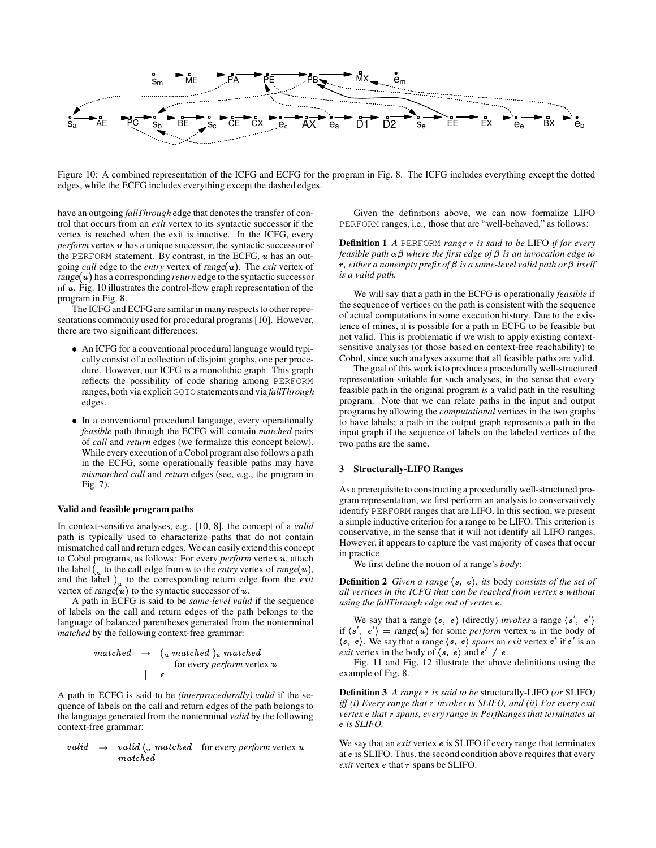

Figure 10: A combined representation of the ICFG and ECFG for the program in Fig. 8. The ICFG includes everything except the dotted edges, while the ECFG includes everything except the dashed edges.

have an outgoing *fallThrough* edge that denotes the transfer of control that occurs from an *exit* vertex to its syntactic successor if the vertex is reached when the exit is inactive. In the ICFG, every  $perform$  vertex  $u$  has a unique successor, the syntactic successor of the PERFORM statement. By contrast, in the ECFG,  $u$  has an outgoing *call* edge to the *entry* vertex of range . The *exit* vertex of  $range(u)$  has a corresponding *return* edge to the syntactic successor of  $u$ . Fig. 10 illustrates the control-flow graph representation of the program in Fig. 8.

The ICFG and ECFG are similar in many respects to other representations commonly used for procedural programs [10]. However, there are two significant differences:

- An ICFG for a conventional procedural language would typically consist of a collection of disjoint graphs, one per procedure. However, our ICFG is a monolithic graph. This graph reflects the possibility of code sharing among PERFORM ranges, both via explicit GOTO statements and via *fallThrough* edges.
- In a conventional procedural language, every operationally *feasible* path through the ECFG will contain *matched* pairs of *call* and *return* edges (we formalize this concept below). While every executionof aCobol program also follows a path in the ECFG, some operationally feasible paths may have *mismatched call* and *return* edges (see, e.g., the program in Fig. 7).

## **Valid and feasible program paths**

In context-sensitive analyses, e.g., [10, 8], the concept of a *valid* path is typically used to characterize paths that do not contain mismatched call and return edges. We can easily extend this concept to Cobol programs, as follows: For every *perform* vertex  $u$ , attach the label  $\binom{n}{y}$  to the call edge from u to the *entry* vertex of range(u), and the label  $\int_u$  to the corresponding return edge from the *exit* vertex of range( $u$ ) to the syntactic successor of  $u$ .

A path in ECFG is said to be *same-level valid* if the sequence of labels on the call and return edges of the path belongs to the language of balanced parentheses generated from the nonterminal *matched* by the following context-free grammar:

$$
\begin{array}{lcl} {\it matched} & \rightarrow & (u ~matched)_{u} ~ matched \\ & \hspace{2.2cm} {\rm for~ every~perform~vertex~}u \\ & \hspace{2.2cm} \mid & \epsilon \end{array}
$$

A path in ECFG is said to be *(interprocedurally) valid* if the sequence of labels on the call and return edges of the path belongs to the language generated from the nonterminal *valid* by the following context-free grammar:

$$
\begin{array}{rcl}\n\textit{valid} & \rightarrow & \textit{valid} \ ( \textit{u} \ \textit{matched} \quad \textit{for every perform vertex } u \\
& \mid & \textit{matched} \qquad \qquad \textit{at} \\
\end{array}
$$

Given the definitions above, we can now formalize LIFO PERFORM ranges, i.e., those that are "well-behaved," as follows:

**Definition 1** *A* PERFORM *range*  $r$  *is said to be* LIFO *if for every feasible* path  $\alpha\beta$  *where the first edge of*  $\beta$  *is an invocation edge to*  $\mathbf{r}$ , either a nonempty prefix of  $\beta$  is a same-level valid path or  $\beta$  itself *is a valid path.*

We will say that a path in the ECFG is operationally *feasible* if the sequence of vertices on the path is consistent with the sequence of actual computations in some execution history. Due to the existence of mines, it is possible for a path in ECFG to be feasible but not valid. This is problematic if we wish to apply existing contextsensitive analyses (or those based on context-free reachability) to Cobol, since such analyses assume that all feasible paths are valid.

The goal of this work is to produce a procedurally well-structured representation suitable for such analyses, in the sense that every feasible path in the original program *is* a valid path in the resulting program. Note that we can relate paths in the input and output programs by allowing the *computational* vertices in the two graphs to have labels; a path in the output graph represents a path in the input graph if the sequence of labels on the labeled vertices of the two paths are the same.

## **3 Structurally-LIFO Ranges**

As a prerequisite to constructing a procedurallywell-structured program representation, we first perform an analysis to conservatively identify PERFORM ranges that are LIFO. In this section, we present a simple inductive criterion for a range to be LIFO. This criterion is conservative, in the sense that it will not identify all LIFO ranges. However, it appears to capture the vast majority of cases that occur in practice.

We first define the notion of a range's *body*:

**Definition 2** *Given a range*  $\langle s, e \rangle$ *, its body consists of the set of all vertices in the ICFG that can be reached from vertex without using the fallThrough edge out of vertex .*

We say that a range  $\langle s, e \rangle$  (directly) *invokes* a range  $\langle s', e' \rangle$ if  $\langle s', e' \rangle = \text{range}(u)$  for some *perform* vertex u in the body of  $\langle s, e \rangle$ . We say that a range  $\langle s, e \rangle$  *spans* an *exit* vertex  $e'$  if  $e'$  is an *exit* vertex in the body of  $\langle s, e \rangle$  and  $e' \neq e$ .

Fig. 11 and Fig. 12 illustrate the above definitions using the example of Fig. 8.

**Definition** 3 *A range* r *is said to be structurally-LIFO (or SLIFO) iff (i) Every range that* ? *invokesis SLIFO, and (ii) For every exit vertex e that r spans, every range in PerfRanges that <i>terminates at is SLIFO.*

We say that an *exit* vertex *e* is SLIFO if every range that terminates at *e* is SLIFO. Thus, the second condition above requires that every *exit* vertex *e* that *r* spans be SLIFO.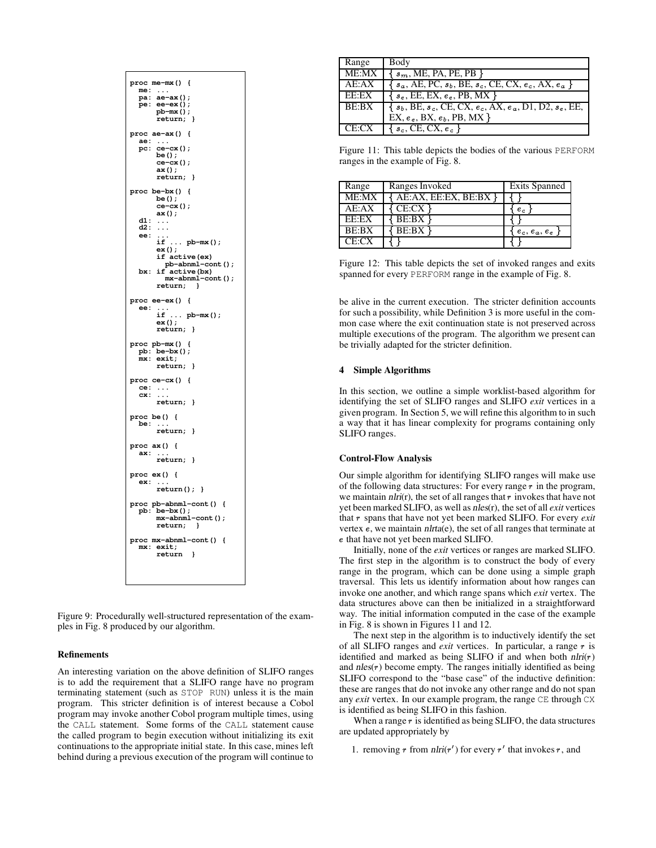| proc me-mx() {<br>me: $\ldots$<br>pa: $ae-ax()$ ;<br>pe:                        | $ee-ex()$<br>$pb-mx();$<br>return;<br>ł                                                                                                                                                                    |
|---------------------------------------------------------------------------------|------------------------------------------------------------------------------------------------------------------------------------------------------------------------------------------------------------|
| proc ae-ax() {<br>ae:<br>pc:                                                    | $\mathop{\text{ce-cx}}$ ( ) ;<br>be () ;<br>ce-cx();<br>ax();<br>return; }                                                                                                                                 |
| proc be-bx() {<br>be ();<br>$d1$ :<br>$\ldots$<br>d2:<br>$\cdots$<br>ee:<br>bx: | $ce-cx()$<br>ax();<br>$\sum_{\substack{\text{in } \text{in} \\ \text{in } \text{in}}} \dots \text{ pb-max}()$ ;<br>if active(ex)<br>pb-abnml-cont();<br>if active(bx)<br>$mx-\text{abnml}-\text{cont}$ (); |
| proc ee-ex() {<br>ee:<br>if.                                                    | return;<br>- }<br>$pb-mx();$<br>$ex()$ ;<br>return; }                                                                                                                                                      |
| proc pb-mx() {<br>pb: be-bx();<br>mx: exit;                                     | return; }                                                                                                                                                                                                  |
| proc ce-cx() {<br>ce:<br>$\ldots$<br>CX:<br>. .                                 | return; }                                                                                                                                                                                                  |
| proc be() {<br>be :                                                             | return;<br>}                                                                                                                                                                                               |
| proc ax() {<br>ax: .                                                            | return; }                                                                                                                                                                                                  |
| proc $ex()$ {<br>ex:<br>$\ddotsc$                                               | $return () ;$ }                                                                                                                                                                                            |
| pb:                                                                             | proc pb-abnml-cont() {<br>be-bx();<br>mx-abnml-cont();<br>return; }                                                                                                                                        |
| mx: exit;                                                                       | proc mx-abnml-cont() {<br>return }                                                                                                                                                                         |

Figure 9: Procedurally well-structured representation of the examples in Fig. 8 produced by our algorithm.

#### **Refinements**

An interesting variation on the above definition of SLIFO ranges is to add the requirement that a SLIFO range have no program terminating statement (such as STOP RUN) unless it is the main program. This stricter definition is of interest because a Cobol program may invoke another Cobol program multiple times, using the CALL statement. Some forms of the CALL statement cause the called program to begin execution without initializing its exit continuations to the appropriate initial state. In this case, mines left behind during a previous execution of the program will continue to

| Range | Body                                                     |
|-------|----------------------------------------------------------|
| ME:MX | $\{s_m, ME, PA, PE, PB\}$                                |
| AE:AX | $\{s_a, AE, PC, s_b, BE, s_c, CE, CX, e_c, AX, e_a\}$    |
| EE EX | $\{s_e, EE, EX, e_e, PB, MX\}$                           |
| BE:BX | $\{s_b, BE, s_c, CE, CX, e_c, AX, e_a, D1, D2, s_e, EE,$ |
|       | EX, $e_e$ , BX, $e_b$ , PB, MX }                         |
| CE:CX | $s_c$ , CE, CX, $e_c$                                    |

Figure 11: This table depicts the bodies of the various PERFORM ranges in the example of Fig. 8.

| Range        | Ranges Invoked      | <b>Exits Spanned</b> |  |
|--------------|---------------------|----------------------|--|
| ME:MX        | AE:AX, EE:EX, BE:BX |                      |  |
| AE:AX        | CE:CX               | $e_c$                |  |
| EE:EX        | BE:BX               |                      |  |
| <b>BE:BX</b> | BE:BX               | $e_c, e_a, e_e$      |  |
| CE: CX       |                     |                      |  |

Figure 12: This table depicts the set of invoked ranges and exits spanned for every PERFORM range in the example of Fig. 8.

be alive in the current execution. The stricter definition accounts for such a possibility, while Definition 3 is more useful in the common case where the exit continuation state is not preserved across multiple executions of the program. The algorithm we present can be trivially adapted for the stricter definition.

## **4 Simple Algorithms**

In this section, we outline a simple worklist-based algorithm for identifying the set of SLIFO ranges and SLIFO *exit* vertices in a given program. In Section 5, we will refine this algorithm to in such a way that it has linear complexity for programs containing only SLIFO ranges.

## **Control-Flow Analysis**

Our simple algorithm for identifying SLIFO ranges will make use of the following data structures: For every range  $r$  in the program, we maintain  $nIri(r)$ , the set of all ranges that r invokes that have not yet been marked SLIFO, as well as nles(r), the set of all *exit* vertices that  $r$  spans that have not yet been marked SLIFO. For every *exit* vertex  $e$ , we maintain *nlrta*( $e$ ), the set of all ranges that terminate at e that have not yet been marked SLIFO.

Initially, none of the *exit* vertices or ranges are marked SLIFO. The first step in the algorithm is to construct the body of every range in the program, which can be done using a simple graph traversal. This lets us identify information about how ranges can invoke one another, and which range spans which *exit* vertex. The data structures above can then be initialized in a straightforward way. The initial information computed in the case of the example in Fig. 8 is shown in Figures 11 and 12.

The next step in the algorithm is to inductively identify the set of all SLIFO ranges and *exit* vertices. In particular, a range  $r$  is identified and marked as being SLIFO if and when both  $n l r(r)$ and  $nles(r)$  become empty. The ranges initially identified as being SLIFO correspond to the "base case" of the inductive definition: these are ranges that do not invoke any other range and do not span any *exit* vertex. In our example program, the range CE through CX is identified as being SLIFO in this fashion.

When a range  $r$  is identified as being SLIFO, the data structures are updated appropriately by

1. removing r from  $n\text{ln}(r')$  for every r' that invokes r, and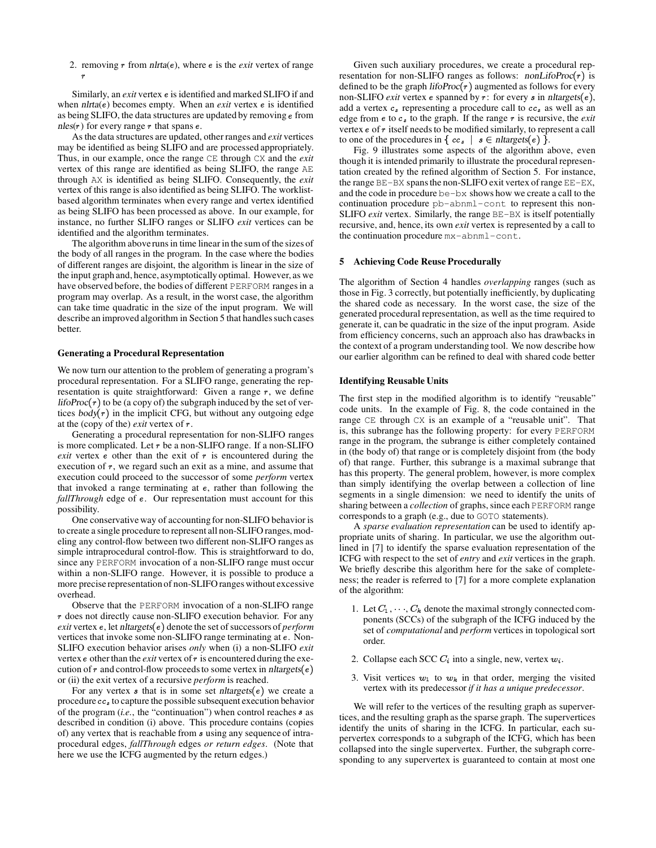2. removing  $r$  from  $n$ *lrta* $(e)$ , where  $e$  is the *exit* vertex of range

Similarly, an *exit* vertex *e* is identified and marked SLIFO if and when  $n l r t a(e)$  becomes empty. When an *exit* vertex  $e$  is identified as being SLIFO, the data structures are updated by removing  $e$  from  $nles(r)$  for every range r that spans e.

As the data structures are updated, other ranges and *exit* vertices may be identified as being SLIFO and are processed appropriately. Thus, in our example, once the range CE through CX and the *exit* vertex of this range are identified as being SLIFO, the range AE through AX is identified as being SLIFO. Consequently, the *exit* vertex of this range is also identified as being SLIFO. The worklistbased algorithm terminates when every range and vertex identified as being SLIFO has been processed as above. In our example, for instance, no further SLIFO ranges or SLIFO *exit* vertices can be identified and the algorithm terminates.

The algorithm aboveruns in time linear in the sum of the sizes of the body of all ranges in the program. In the case where the bodies of different ranges are disjoint, the algorithm is linear in the size of the input graph and, hence, asymptotically optimal. However, as we have observed before, the bodies of different PERFORM ranges in a program may overlap. As a result, in the worst case, the algorithm can take time quadratic in the size of the input program. We will describe an improved algorithm in Section 5 that handles such cases better.

#### **Generating a Procedural Representation**

We now turn our attention to the problem of generating a program's procedural representation. For a SLIFO range, generating the representation is quite straightforward: Given a range  $r$ , we define lifoProc $(r)$  to be (a copy of) the subgraph induced by the set of vertices  $body(r)$  in the implicit CFG, but without any outgoing edge at the (copy of the) *exit* vertex of ? .

Generating a procedural representation for non-SLIFO ranges is more complicated. Let  $r$  be a non-SLIFO range. If a non-SLIFO *exit* vertex  $e$  other than the exit of  $r$  is encountered during the execution of  $r$ , we regard such an exit as a mine, and assume that execution could proceed to the successor of some *perform* vertex that invoked a range terminating at  $e$ , rather than following the *fallThrough* edge of e. Our representation must account for this possibility.

One conservativeway of accounting for non-SLIFO behavior is to create a single procedure to represent all non-SLIFO ranges, modeling any control-flow between two different non-SLIFO ranges as simple intraprocedural control-flow. This is straightforward to do, since any PERFORM invocation of a non-SLIFO range must occur within a non-SLIFO range. However, it is possible to produce a more precise representation of non-SLIFOrangeswithout excessive overhead.

Observe that the PERFORM invocation of a non-SLIFO range ? does not directly cause non-SLIFO execution behavior. For any *exit* vertex *e*, let *nltargets*(*e*) denote the set of successors of *perform* vertices that invoke some non-SLIFO range terminating at  $e$ . Non-SLIFO execution behavior arises *only* when (i) a non-SLIFO *exit* vertex  $e$  other than the *exit* vertex of  $r$  is encountered during the execution of  $r$  and control-flow proceeds to some vertex in nltargets( $e$ ) or (ii) the exit vertex of a recursive *perform* is reached.

For any vertex  $s$  that is in some set nltargets $(e)$  we create a procedure  $cc_s$  to capture the possible subsequent execution behavior of the program (*i.e.*, the "continuation") when control reaches as described in condition (i) above. This procedure contains (copies of) any vertex that is reachable from s using any sequence of intraprocedural edges, *fallThrough* edges *or return edges*. (Note that here we use the ICFG augmented by the return edges.)

Given such auxiliary procedures, we create a procedural representation for non-SLIFO ranges as follows:  $nonLifoProc(r)$  is defined to be the graph *lifoProc* $(r)$  augmented as follows for every non-SLIFO *exit* vertex *e* spanned by  $r$ : for every *s* in nltargets $(e)$ , add a vertex  $c_s$  representing a procedure call to  $cc_s$  as well as an edge from  $e$  to  $c_s$  to the graph. If the range  $r$  is recursive, the *exit* vertex  $e$  of  $r$  itself needs to be modified similarly, to represent a call to one of the procedures in  $\{cc_s \mid s \in \textit{nltargest}(e)\}.$ 

Fig. 9 illustrates some aspects of the algorithm above, even though it is intended primarily to illustrate the procedural representation created by the refined algorithm of Section 5. For instance, the range BE-BX spans the non-SLIFO exit vertex of range EE-EX, and the code in procedure be-bx shows how we create a call to the continuation procedure pb-abnml-cont to represent this non-SLIFO *exit* vertex. Similarly, the range BE-BX is itself potentially recursive, and, hence, its own *exit* vertex is represented by a call to the continuation procedure mx-abnml-cont.

#### **5 Achieving Code Reuse Procedurally**

The algorithm of Section 4 handles *overlapping* ranges (such as those in Fig. 3 correctly, but potentially inefficiently, by duplicating the shared code as necessary. In the worst case, the size of the generated procedural representation, as well as the time required to generate it, can be quadratic in the size of the input program. Aside from efficiency concerns, such an approach also has drawbacks in the context of a program understanding tool. We now describe how our earlier algorithm can be refined to deal with shared code better

## **Identifying Reusable Units**

The first step in the modified algorithm is to identify "reusable" code units. In the example of Fig. 8, the code contained in the range CE through CX is an example of a "reusable unit". That is, this subrange has the following property: for every PERFORM range in the program, the subrange is either completely contained in (the body of) that range or is completely disjoint from (the body of) that range. Further, this subrange is a maximal subrange that has this property. The general problem, however, is more complex than simply identifying the overlap between a collection of line segments in a single dimension: we need to identify the units of sharing between a *collection* of graphs, since each PERFORM range corresponds to a graph (e.g., due to GOTO statements).

A *sparse evaluation representation* can be used to identify appropriate units of sharing. In particular, we use the algorithm outlined in [7] to identify the sparse evaluation representation of the ICFG with respect to the set of *entry* and *exit* vertices in the graph. We briefly describe this algorithm here for the sake of completeness; the reader is referred to [7] for a more complete explanation of the algorithm:

- 1. Let  $C_1$ ,  $C_k$  denote the maximal strongly connected components (SCCs) of the subgraph of the ICFG induced by the set of *computational* and *perform* vertices in topological sort order.
- 2. Collapse each SCC  $C_i$  into a single, new, vertex  $w_i$ .
- 3. Visit vertices  $w_1$  to  $w_k$  in that order, merging the visited - vertex with its predecessor *if it has a unique predecessor*.

We will refer to the vertices of the resulting graph as supervertices, and the resulting graph as the sparse graph. The supervertices identify the units of sharing in the ICFG. In particular, each supervertex corresponds to a subgraph of the ICFG, which has been collapsed into the single supervertex. Further, the subgraph corresponding to any supervertex is guaranteed to contain at most one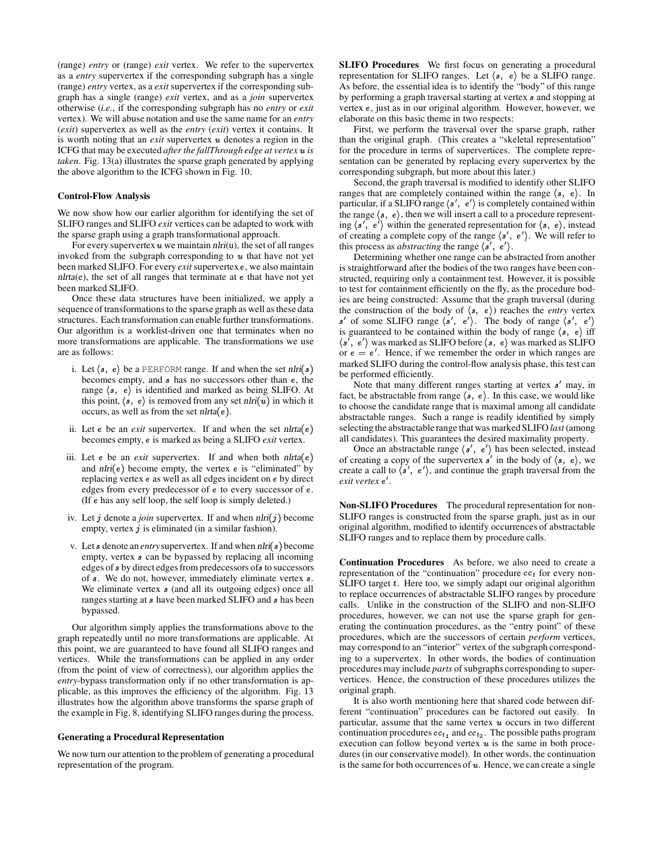(range) *entry* or (range) *exit* vertex. We refer to the supervertex as a *entry* supervertex if the corresponding subgraph has a single (range) *entry* vertex, as a *exit* supervertex if the corresponding subgraph has a single (range) *exit* vertex, and as a *join* supervertex otherwise (*i.e.*, if the corresponding subgraph has no *entry* or *exit* vertex). We will abuse notation and use the same name for an *entry* (*exit*) supervertex as well as the *entry* (*exit*) vertex it contains. It is worth noting that an *exit* supervertex u denotes a region in the ICFG that may be executed *after the fallThrough edge at vertex is taken*. Fig. 13(a) illustrates the sparse graph generated by applying the above algorithm to the ICFG shown in Fig. 10.

## **Control-Flow Analysis**

We now show how our earlier algorithm for identifying the set of SLIFO ranges and SLIFO *exit* vertices can be adapted to work with the sparse graph using a graph transformational approach.

For every supervertex  $u$  we maintain  $nIri(u)$ , the set of all ranges invoked from the subgraph corresponding to  $u$  that have not yet been marked SLIFO. For every *exit* supervertex *e*, we also maintain  $n$ lrta $(e)$ , the set of all ranges that terminate at  $e$  that have not yet been marked SLIFO.

Once these data structures have been initialized, we apply a sequence of transformations to the sparse graph as well as these data structures. Each transformation can enable further transformations. Our algorithm is a worklist-driven one that terminates when no more transformations are applicable. The transformations we use are as follows:

- i. Let  $\langle s, e \rangle$  be a PERFORM range. If and when the set nlri(s) becomes empty, and  $s$  has no successors other than  $e$ , the range  $\langle s, e \rangle$  is identified and marked as being SLIFO. At this point,  $\langle s, e \rangle$  is removed from any set nlri(u) in which it occurs, as well as from the set  $n l r t a(e)$ . .
- ii. Let  $e$  be an *exit* supervertex. If and when the set nlrta $(e)$ becomes empty, *e* is marked as being a SLIFO *exit* vertex.
- iii. Let  $e$  be an *exit* supervertex. If and when both  $n l r t a(e)$ and  $nIri(e)$  become empty, the vertex e is "eliminated" by replacing vertex e as well as all edges incident on e by direct edges from every predecessor of  $e$  to every successor of  $e$ . (If  $e$  has any self loop, the self loop is simply deleted.)
- iv. Let  $j$  denote a *join* supervertex. If and when  $nIri(j)$  become empty, vertex  $j$  is eliminated (in a similar fashion).
- v. Let  $s$  denote an *entry* supervertex. If and when  $nIri(s)$  become empty, vertex s can be bypassed by replacing all incoming edges of  $s$  by direct edges from predecessors of  $s$  to successors of *s*. We do not, however, immediately eliminate vertex *s*. We eliminate vertex  $s$  (and all its outgoing edges) once all ranges starting at  $s$  have been marked SLIFO and  $s$  has been bypassed.

Our algorithm simply applies the transformations above to the graph repeatedly until no more transformations are applicable. At this point, we are guaranteed to have found all SLIFO ranges and vertices. While the transformations can be applied in any order (from the point of view of correctness), our algorithm applies the *entry*-bypass transformation only if no other transformation is applicable, as this improves the efficiency of the algorithm. Fig. 13 illustrates how the algorithm above transforms the sparse graph of the example in Fig. 8, identifying SLIFO ranges during the process.

#### **Generating a Procedural Representation**

We now turn our attention to the problem of generating a procedural representation of the program.

**SLIFO Procedures** We first focus on generating a procedural representation for SLIFO ranges. Let  $\langle s, e \rangle$  be a SLIFO range. As before, the essential idea is to identify the "body" of this range by performing a graph traversal starting at vertex  $s$  and stopping at vertex  $e$ , just as in our original algorithm. However, however, we elaborate on this basic theme in two respects:

First, we perform the traversal over the sparse graph, rather than the original graph. (This creates a "skeletal representation" for the procedure in terms of supervertices. The complete representation can be generated by replacing every supervertex by the corresponding subgraph, but more about this later.)

Second, the graph traversal is modified to identify other SLIFO ranges that are completely contained within the range  $\langle s, e \rangle$ . In particular, if a SLIFO range  $\langle s', e' \rangle$  is completely contained within the range  $\langle s, e \rangle$ , then we will insert a call to a procedure representing  $\langle s', e' \rangle$  within the generated representation for  $\langle s, e \rangle$ , instead of creating a complete copy of the range  $\langle s', e' \rangle$ . We will refer to this process as *abstracting* the range  $\langle s', e' \rangle$ .

 be performed efficiently. Determining whether one range can be abstracted from another is straightforward after the bodies of the two ranges have been constructed, requiring only a containment test. However, it is possible to test for containment efficiently on the fly, as the procedure bodies are being constructed: Assume that the graph traversal (during the construction of the body of  $\langle s, e \rangle$  reaches the *entry* vertex s' of some SLIFO range  $\langle s', e' \rangle$ . The body of range  $\langle s', e' \rangle$ is guaranteed to be contained within the body of range  $\langle s, e \rangle$  iff  $\langle s',\ e' \rangle$  was marked as SLIFO before  $\langle s,\ e \rangle$  was marked as SLIFO or  $e = e'$ . Hence, if we remember the order in which ranges are marked SLIFO during the control-flow analysis phase, this test can

 all candidates). This guarantees the desired maximality property. Note that many different ranges starting at vertex  $s'$  may, in fact, be abstractable from range  $\langle s, e \rangle$ . In this case, we would like to choose the candidate range that is maximal among all candidate abstractable ranges. Such a range is readily identified by simply selecting the abstractable range that was marked SLIFO *last* (among

of creating a copy of the supervertex  $s'$  in the body of  $\langle s, e \rangle$ , we Once an abstractable range  $\langle s', e' \rangle$  has been selected, instead create a call to  $\langle s', e' \rangle$ , and continue the graph traversal from the *exit vertex* .

**Non-SLIFO Procedures** The procedural representation for non-SLIFO ranges is constructed from the sparse graph, just as in our original algorithm, modified to identify occurrences of abstractable SLIFO ranges and to replace them by procedure calls.

**Continuation Procedures** As before, we also need to create a representation of the "continuation" procedure  $cc<sub>t</sub>$  for every non-SLIFO target  $t$ . Here too, we simply adapt our original algorithm to replace occurrences of abstractable SLIFO ranges by procedure calls. Unlike in the construction of the SLIFO and non-SLIFO procedures, however, we can not use the sparse graph for generating the continuation procedures, as the "entry point" of these procedures, which are the successors of certain *perform* vertices, may correspond to an "interior" vertex of the subgraph corresponding to a supervertex. In other words, the bodies of continuation procedures may include *parts* of subgraphs corresponding to supervertices. Hence, the construction of these procedures utilizes the original graph.

It is also worth mentioning here that shared code between different "continuation" procedures can be factored out easily. In particular, assume that the same vertex  $u$  occurs in two different continuation procedures  $cc_{t_1}$  and  $cc_{t_2}$ . The possible paths program execution can follow beyond vertex  $u$  is the same in both procedures (in our conservative model). In other words, the continuation is the same for both occurrences of  $u$ . Hence, we can create a single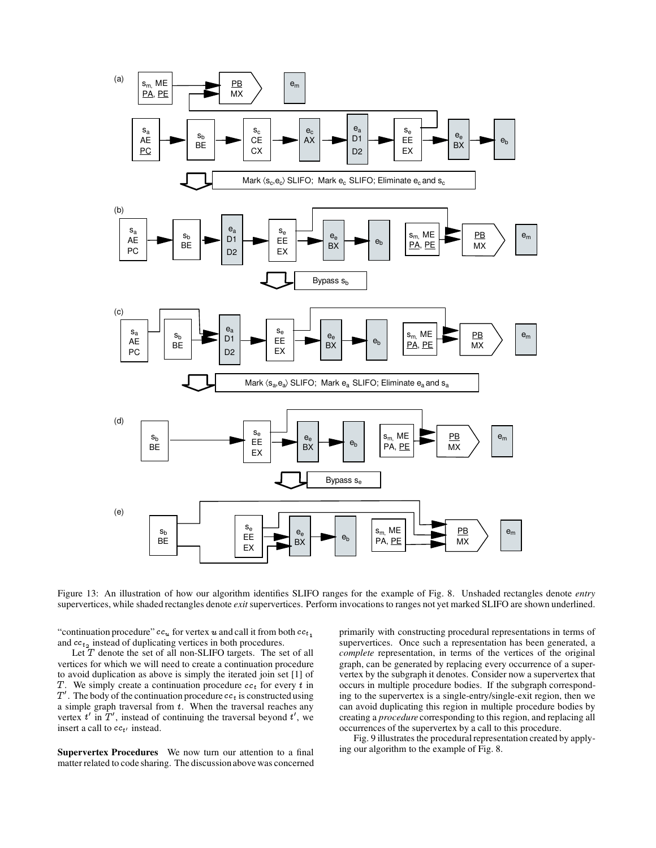

Figure 13: An illustration of how our algorithm identifies SLIFO ranges for the example of Fig. 8. Unshaded rectangles denote *entry* supervertices, while shaded rectangles denote *exit* supervertices. Perform invocations to ranges not yet marked SLIFO are shown underlined.

"continuation procedure"  $cc_u$  for vertex u and call it from both  $cc_{t_1}$ and  $cc_{t_2}$  instead of duplicating vertices in both procedures.

Let  $T$  denote the set of all non-SLIFO targets. The set of all vertices for which we will need to create a continuation procedure to avoid duplication as above is simply the iterated join set [1] of T. We simply create a continuation procedure  $cc_t$  for every t in  $T'$ . The body of the continuation procedure  $cc_t$  is constructed using a simple graph traversal from  $t$ . When the traversal reaches any vertex  $t'$  in  $T'$ , instead of continuing the traversal beyond  $t'$ , we insert a call to  $cc_{t}$  instead.

**Supervertex Procedures** We now turn our attention to a final matter related to code sharing. The discussionabovewas concerned primarily with constructing procedural representations in terms of supervertices. Once such a representation has been generated, a *complete* representation, in terms of the vertices of the original graph, can be generated by replacing every occurrence of a supervertex by the subgraph it denotes. Consider now a supervertex that occurs in multiple procedure bodies. If the subgraph corresponding to the supervertex is a single-entry/single-exit region, then we can avoid duplicating this region in multiple procedure bodies by creating a *procedure* corresponding to this region, and replacing all occurrences of the supervertex by a call to this procedure.

Fig. 9 illustrates the procedural representation created by applying our algorithm to the example of Fig. 8.